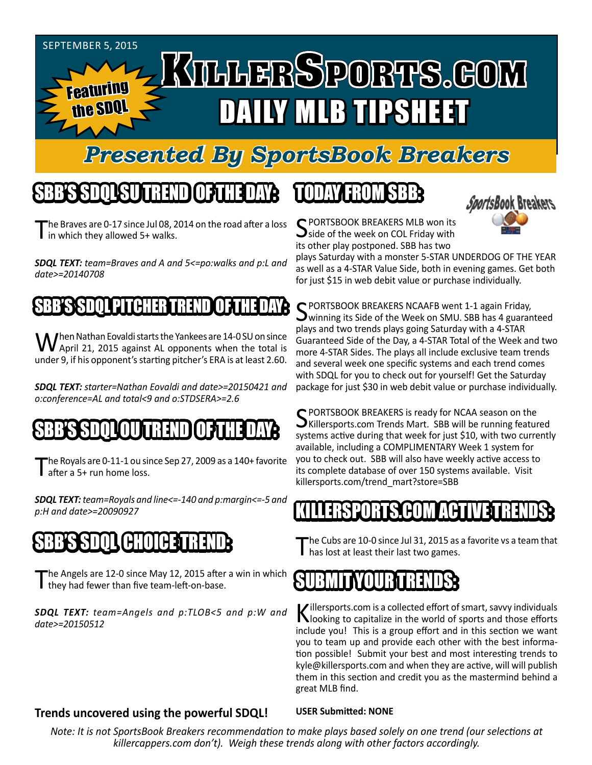

### *Presented By SportsBook Breakers*

### SBB'S SDQL SU TREND OF THE DAY:

he Braves are 0-17 since Jul 08, 2014 on the road after a loss'  $\mathbf I$  in which they allowed 5+ walks.

*SDQL TEXT: team=Braves and A and 5<=po:walks and p:L and date>=20140708*

#### BB'S SDOL PITCHER

When Nathan Eovaldi starts the Yankees are 14-0 SU on since<br>April 21, 2015 against AL opponents when the total is under 9, if his opponent's starting pitcher's ERA is at least 2.60.

*SDQL TEXT: starter=Nathan Eovaldi and date>=20150421 and o:conference=AL and total<9 and o:STDSERA>=2.6*

### SBB'S SDQLOU TREND OF THE DAY:

The Royals are 0-11-1 ou since Sep 27, 2009 as a 140+ favorite after a 5+ run home loss.

*SDQL TEXT: team=Royals and line<=-140 and p:margin<=-5 and p:H and date>=20090927*

## SBB'S SDQL CHOICE TREND

The Angels are 12-0 since May 12, 2015 after a win in which they had fewer than five team-left-on-base.

*SDQL TEXT: team=Angels and p:TLOB<5 and p:W and date>=20150512*

# TODAY HAOMSBB



C PORTSBOOK BREAKERS MLB won its side of the week on COL Friday with its other play postponed. SBB has two

plays Saturday with a monster 5-STAR UNDERDOG OF THE YEAR as well as a 4-STAR Value Side, both in evening games. Get both for just \$15 in web debit value or purchase individually.

SPORTSBOOK BREAKERS NCAAFB went 1-1 again Friday,<br>Swinning its Side of the Week on SMU. SBB has 4 guaranteed plays and two trends plays going Saturday with a 4-STAR Guaranteed Side of the Day, a 4-STAR Total of the Week and two more 4-STAR Sides. The plays all include exclusive team trends and several week one specific systems and each trend comes with SDQL for you to check out for yourself! Get the Saturday package for just \$30 in web debit value or purchase individually.

SPORTSBOOK BREAKERS is ready for NCAA season on the<br>SKillersports.com Trends Mart. SBB will be running featured systems active during that week for just \$10, with two currently available, including a COMPLIMENTARY Week 1 system for you to check out. SBB will also have weekly active access to its complete database of over 150 systems available. Visit killersports.com/trend\_mart?store=SBB

#### KILLERSPORTS.COM ACTIVE TRENDS:

he Cubs are 10-0 since Jul 31, 2015 as a favorite vs a team that has lost at least their last two games.



Killersports.com is a collected effort of smart, savvy individuals<br>Nooking to capitalize in the world of sports and those efforts include you! This is a group effort and in this section we want you to team up and provide each other with the best information possible! Submit your best and most interesting trends to kyle@killersports.com and when they are active, will will publish them in this section and credit you as the mastermind behind a great MLB find.

#### **Trends uncovered using the powerful SDQL!**

**USER Submitted: NONE**

*Note: It is not SportsBook Breakers recommendation to make plays based solely on one trend (our selections at killercappers.com don't). Weigh these trends along with other factors accordingly.*